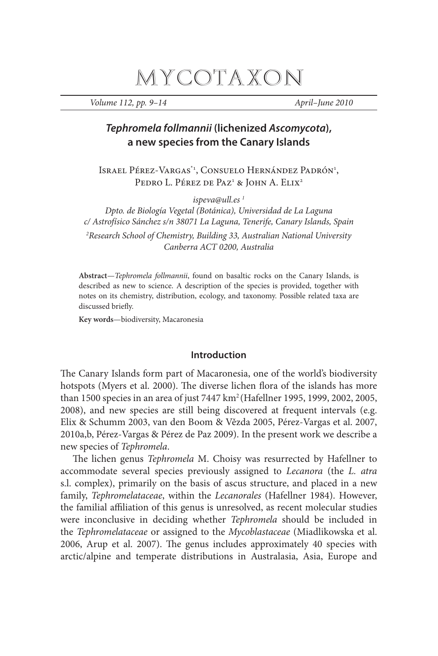# MYCOTAXON

*Volume 112, pp. 9–14 April–June 2010* 

# **Tephromela follmannii (lichenized Ascomycota), a new species from the Canary Islands**

Israel Pérez-Vargas<sup>\*1</sup>, Consuelo Hernández Padrón<sup>1</sup>, Pedro L. Pérez de Paz<sup>1</sup> & John A. Elix<sup>2</sup>

*ispeva@ull.es 1*

*Dpto. de Biología Vegetal (Botánica), Universidad de La Laguna c/ Astrofísico Sánchez s/n 38071 La Laguna, Tenerife, Canary Islands, Spain* 

*2 Research School of Chemistry, Building 33, Australian National University Canberra ACT 0200, Australia*

**Abstract**—*Tephromela follmannii*, found on basaltic rocks on the Canary Islands, is described as new to science. A description of the species is provided, together with notes on its chemistry, distribution, ecology, and taxonomy. Possible related taxa are discussed briefly.

**Key words**—biodiversity, Macaronesia

## **Introduction**

The Canary Islands form part of Macaronesia, one of the world's biodiversity hotspots (Myers et al. 2000). The diverse lichen flora of the islands has more than 1500 species in an area of just 7447 km2 (Hafellner 1995, 1999, 2002, 2005, 2008), and new species are still being discovered at frequent intervals (e.g. Elix & Schumm 2003, van den Boom & Vězda 2005, Pérez-Vargas et al. 2007, 2010a,b, Pérez-Vargas & Pérez de Paz 2009). In the present work we describe a new species of *Tephromela*.

The lichen genus *Tephromela* M. Choisy was resurrected by Hafellner to accommodate several species previously assigned to *Lecanora* (the *L. atra*  s.l. complex), primarily on the basis of ascus structure, and placed in a new family, *Tephromelataceae*, within the *Lecanorales* (Hafellner 1984). However, the familial affiliation of this genus is unresolved, as recent molecular studies were inconclusive in deciding whether *Tephromela* should be included in the *Tephromelataceae* or assigned to the *Mycoblastaceae* (Miadlikowska et al. 2006, Arup et al. 2007). The genus includes approximately 40 species with arctic/alpine and temperate distributions in Australasia, Asia, Europe and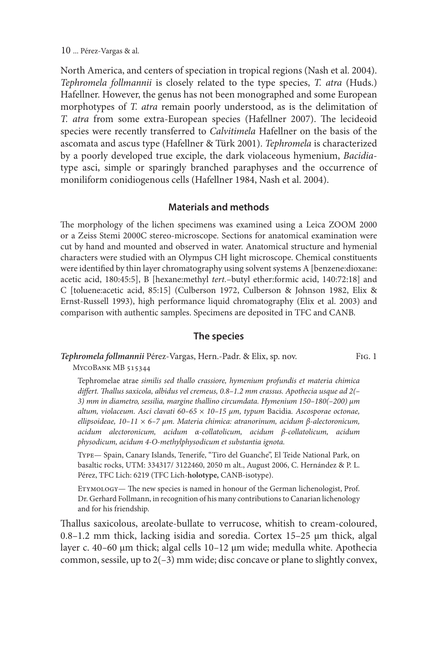North America, and centers of speciation in tropical regions (Nash et al. 2004). *Tephromela follmannii* is closely related to the type species, *T. atra* (Huds.) Hafellner. However, the genus has not been monographed and some European morphotypes of *T. atra* remain poorly understood, as is the delimitation of *T. atra* from some extra-European species (Hafellner 2007). The lecideoid species were recently transferred to *Calvitimela* Hafellner on the basis of the ascomata and ascus type (Hafellner & Türk 2001). *Tephromela* is characterized by a poorly developed true exciple, the dark violaceous hymenium, *Bacidia*type asci, simple or sparingly branched paraphyses and the occurrence of moniliform conidiogenous cells (Hafellner 1984, Nash et al. 2004).

# **Materials and methods**

The morphology of the lichen specimens was examined using a Leica ZOOM 2000 or a Zeiss Stemi 2000C stereo-microscope. Sections for anatomical examination were cut by hand and mounted and observed in water. Anatomical structure and hymenial characters were studied with an Olympus CH light microscope. Chemical constituents were identified by thin layer chromatography using solvent systems A [benzene:dioxane: acetic acid, 180:45:5], B [hexane:methyl *tert.*–butyl ether:formic acid, 140:72:18] and C [toluene:acetic acid, 85:15] (Culberson 1972, Culberson & Johnson 1982, Elix & Ernst*-*Russell 1993), high performance liquid chromatography (Elix et al. 2003) and comparison with authentic samples. Specimens are deposited in TFC and CANB.

# **The species**

#### *Tephromela follmannii* Pérez-Vargas, Hern.-Padr. & Elix, sp. nov. Fig. 1

MycoBank MB 515344

Tephromelae atrae *similis sed thallo crassiore, hymenium profundis et materia chimica differt. Thallus saxicola, albidus vel cremeus, 0.8–1.2 mm crassus. Apothecia usque ad 2(– 3) mm in diametro, sessilia, margine thallino circumdata. Hymenium 150–180(–200) μm altum, violaceum. Asci clavati 60–65 × 10–15 μm, typum* Bacidia*. Ascosporae octonae, ellipsoideae, 10–11 × 6–7 μm. Materia chimica: atranorinum, acidum β-alectoronicum, acidum alectoronicum, acidum α-collatolicum, acidum β-collatolicum, acidum physodicum, acidum 4-O-methylphysodicum et substantia ignota.*

Type— Spain, Canary Islands, Tenerife, "Tiro del Guanche", El Teide National Park, on basaltic rocks, UTM: 334317/ 3122460, 2050 m alt., August 2006, C. Hernández & P. L. Pérez, TFC Lich: 6219 (TFC Lich-**holotype,** CANB-isotype).

Etymology— The new species is named in honour of the German lichenologist, Prof. Dr. Gerhard Follmann, in recognition of his many contributions to Canarian lichenology and for his friendship.

Thallus saxicolous, areolate-bullate to verrucose, whitish to cream-coloured, 0.8*–*1.2 mm thick, lacking isidia and soredia. Cortex 15*–*25 μm thick, algal layer c. 40*–*60 μm thick; algal cells 10*–*12 μm wide; medulla white. Apothecia common, sessile, up to 2(*–*3) mm wide; disc concave or plane to slightly convex,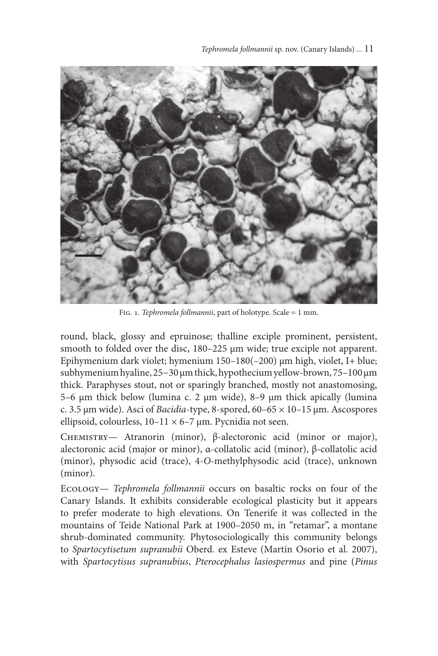

Fig. 1. *Tephromela follmannii*, part of holotype. Scale = 1 mm.

round, black, glossy and epruinose; thalline exciple prominent, persistent, smooth to folded over the disc, 180*–*225 μm wide; true exciple not apparent. Epihymenium dark violet; hymenium 150*–*180(*–*200) μm high, violet, I+ blue; subhymenium hyaline, 25−30 μm thick, hypothecium yellow-brown, 75*–*100 μm thick. Paraphyses stout, not or sparingly branched, mostly not anastomosing, 5*–*6 μm thick below (lumina c. 2 μm wide), 8*–*9 μm thick apically (lumina c. 3.5 μm wide). Asci of *Bacidia*-type, 8-spored, 60*–*65 × 10*–*15 μm. Ascospores ellipsoid, colourless, 10*–*11 × 6*–*7 μm. Pycnidia not seen.

Chemistry— Atranorin (minor), β-alectoronic acid (minor or major), alectoronic acid (major or minor), α-collatolic acid (minor), β-collatolic acid (minor), physodic acid (trace), 4-*O*-methylphysodic acid (trace), unknown (minor).

Ecology— *Tephromela follmannii* occurs on basaltic rocks on four of the Canary Islands. It exhibits considerable ecological plasticity but it appears to prefer moderate to high elevations. On Tenerife it was collected in the mountains of Teide National Park at 1900*–*2050 m, in "retamar", a montane shrub-dominated community. Phytosociologically this community belongs to *Spartocytisetum supranubii* Oberd. ex Esteve (Martín Osorio et al. 2007), with *Spartocytisus supranubius*, *Pterocephalus lasiospermus* and pine (*Pinus*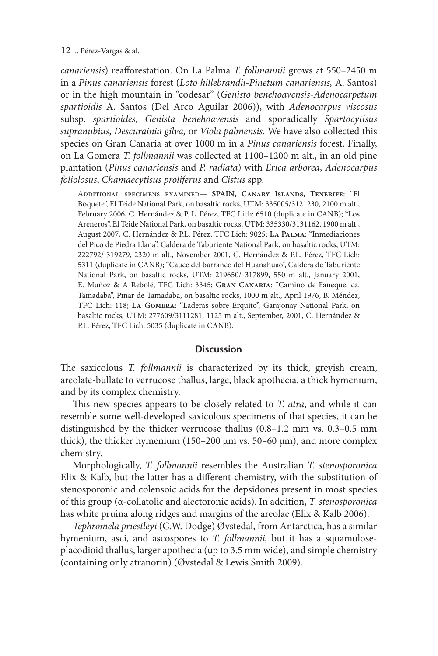#### 12 ... Pérez-Vargas & al.

*canariensis*) reafforestation. On La Palma *T. follmannii* grows at 550*–*2450 m in a *Pinus canariensis* forest (*Loto hillebrandii-Pinetum canariensis,* A. Santos) or in the high mountain in "codesar" (*Genisto benehoavensis*-*Adenocarpetum spartioidis* A. Santos (Del Arco Aguilar 2006)), with *Adenocarpus viscosus* subsp. *spartioides*, *Genista benehoavensis* and sporadically *Spartocytisus supranubius*, *Descurainia gilva,* or *Viola palmensis*. We have also collected this species on Gran Canaria at over 1000 m in a *Pinus canariensis* forest. Finally, on La Gomera *T. follmannii* was collected at 1100*–*1200 m alt., in an old pine plantation (*Pinus canariensis* and *P. radiata*) with *Erica arborea*, *Adenocarpus foliolosus*, *Chamaecytisus proliferus* and *Cistus* spp.

Additional specimens examined— **SPAIN, Canary Islands, Tenerife**: "El Boquete", El Teide National Park, on basaltic rocks, UTM: 335005/3121230, 2100 m alt., February 2006, C. Hernández & P. L. Pérez, TFC Lich: 6510 (duplicate in CANB); "Los Areneros", El Teide National Park, on basaltic rocks, UTM: 335330/3131162, 1900 m alt., August 2007, C. Hernández & P.L. Pérez, TFC Lich: 9025; **La Palma**: "Inmediaciones del Pico de Piedra Llana", Caldera de Taburiente National Park, on basaltic rocks, UTM: 222792/ 319279, 2320 m alt., November 2001, C. Hernández & P.L. Pérez, TFC Lich: 5311 (duplicate in CANB); "Cauce del barranco del Huanahuao", Caldera de Taburiente National Park, on basaltic rocks, UTM: 219650/ 317899, 550 m alt., January 2001, E. Muñoz & A Rebolé, TFC Lich: 3345; **Gran Canaria**: "Camino de Faneque, ca. Tamadaba", Pinar de Tamadaba, on basaltic rocks, 1000 m alt., April 1976, B. Méndez, TFC Lich: 118; **La Gomera**: "Laderas sobre Erquito", Garajonay National Park, on basaltic rocks, UTM: 277609/3111281, 1125 m alt., September, 2001, C. Hernández & P.L. Pérez, TFC Lich: 5035 (duplicate in CANB).

### **Discussion**

The saxicolous *T. follmannii* is characterized by its thick, greyish cream, areolate-bullate to verrucose thallus, large, black apothecia, a thick hymenium, and by its complex chemistry.

This new species appears to be closely related to *T. atra*, and while it can resemble some well-developed saxicolous specimens of that species, it can be distinguished by the thicker verrucose thallus (0.8*–*1.2 mm vs. 0.3*–*0.5 mm thick), the thicker hymenium (150*–*200 μm vs. 50*–*60 μm), and more complex chemistry.

Morphologically, *T. follmannii* resembles the Australian *T. stenosporonica* Elix & Kalb, but the latter has a different chemistry, with the substitution of stenosporonic and colensoic acids for the depsidones present in most species of this group (α-collatolic and alectoronic acids). In addition, *T. stenosporonica* has white pruina along ridges and margins of the areolae (Elix & Kalb 2006).

*Tephromela priestleyi* (C.W. Dodge) Øvstedal, from Antarctica, has a similar hymenium, asci, and ascospores to *T. follmannii,* but it has a squamuloseplacodioid thallus, larger apothecia (up to 3.5 mm wide), and simple chemistry (containing only atranorin) (Øvstedal & Lewis Smith 2009).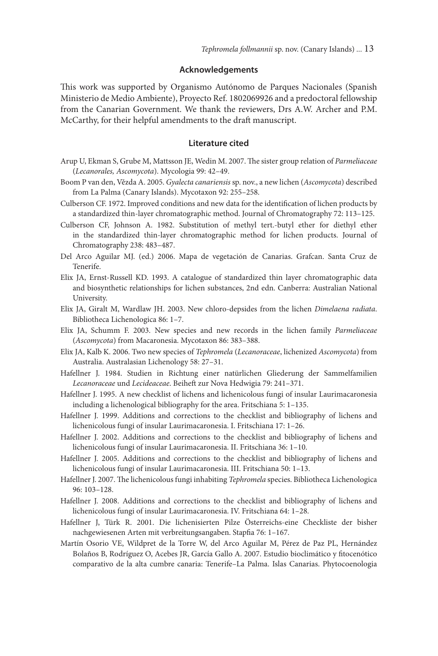#### **Acknowledgements**

This work was supported by Organismo Autónomo de Parques Nacionales (Spanish Ministerio de Medio Ambiente), Proyecto Ref. 1802069926 and a predoctoral fellowship from the Canarian Government. We thank the reviewers, Drs A.W. Archer and P.M. McCarthy, for their helpful amendments to the draft manuscript.

#### **Literature cited**

- Arup U, Ekman S, Grube M, Mattsson JE, Wedin M. 2007. The sister group relation of *Parmeliaceae* (*Lecanorales, Ascomycota*). Mycologia 99: 42–49.
- Boom P van den, Vězda A. 2005. *Gyalecta canariensis* sp. nov., a new lichen (*Ascomycota*) described from La Palma (Canary Islands). Mycotaxon 92: 255–258.
- Culberson CF. 1972. Improved conditions and new data for the identification of lichen products by a standardized thin-layer chromatographic method. Journal of Chromatography 72: 113–125.
- Culberson CF, Johnson A. 1982. Substitution of methyl tert.-butyl ether for diethyl ether in the standardized thin-layer chromatographic method for lichen products. Journal of Chromatography 238: 483–487.
- Del Arco Aguilar MJ. (ed.) 2006. Mapa de vegetación de Canarias. Grafcan. Santa Cruz de Tenerife.
- Elix JA, Ernst-Russell KD. 1993. A catalogue of standardized thin layer chromatographic data and biosynthetic relationships for lichen substances, 2nd edn. Canberra: Australian National University.
- Elix JA, Giralt M, Wardlaw JH. 2003. New chloro-depsides from the lichen *Dimelaena radiata*. Bibliotheca Lichenologica 86: 1–7.
- Elix JA, Schumm F. 2003. New species and new records in the lichen family *Parmeliaceae* (*Ascomycota*) from Macaronesia. Mycotaxon 86: 383–388.
- Elix JA, Kalb K. 2006. Two new species of *Tephromela* (*Lecanoraceae*, lichenized *Ascomycota*) from Australia. Australasian Lichenology 58: 27–31.
- Hafellner J. 1984. Studien in Richtung einer natürlichen Gliederung der Sammelfamilien *Lecanoraceae* und *Lecideaceae*. Beiheft zur Nova Hedwigia 79: 241–371.
- Hafellner J. 1995. A new checklist of lichens and lichenicolous fungi of insular Laurimacaronesia including a lichenological bibliography for the area. Fritschiana 5: 1–135.
- Hafellner J. 1999. Additions and corrections to the checklist and bibliography of lichens and lichenicolous fungi of insular Laurimacaronesia. I. Fritschiana 17: 1–26.
- Hafellner J. 2002. Additions and corrections to the checklist and bibliography of lichens and lichenicolous fungi of insular Laurimacaronesia. II. Fritschiana 36: 1–10.
- Hafellner J. 2005. Additions and corrections to the checklist and bibliography of lichens and lichenicolous fungi of insular Laurimacaronesia. III. Fritschiana 50: 1–13.
- Hafellner J. 2007. The lichenicolous fungi inhabiting *Tephromela* species. Bibliotheca Lichenologica 96: 103–128.
- Hafellner J. 2008. Additions and corrections to the checklist and bibliography of lichens and lichenicolous fungi of insular Laurimacaronesia. IV. Fritschiana 64: 1–28.
- Hafellner J, Türk R. 2001. Die lichenisierten Pilze Österreichs-eine Checkliste der bisher nachgewiesenen Arten mit verbreitungsangaben. Stapfia 76: 1–167.
- Martín Osorio VE, Wildpret de la Torre W, del Arco Aguilar M, Pérez de Paz PL, Hernández Bolaños B, Rodríguez O, Acebes JR, García Gallo A. 2007. Estudio bioclimático y fitocenótico comparativo de la alta cumbre canaria: Tenerife–La Palma. Islas Canarias. Phytocoenologia